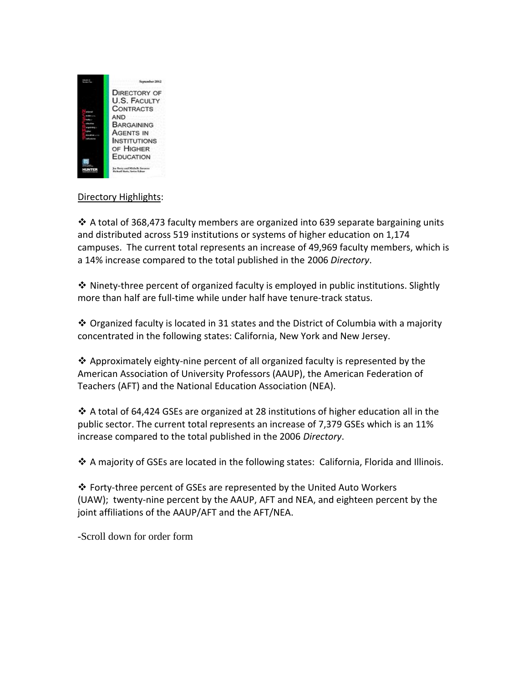

## Directory Highlights:

 $\cdot$  A total of 368,473 faculty members are organized into 639 separate bargaining units and distributed across 519 institutions or systems of higher education on 1,174 campuses. The current total represents an increase of 49,969 faculty members, which is a 14% increase compared to the total published in the 2006 *Directory*.

 $\cdot$  Ninety-three percent of organized faculty is employed in public institutions. Slightly more than half are full-time while under half have tenure-track status.

 $\cdot$  Organized faculty is located in 31 states and the District of Columbia with a majority concentrated in the following states: California, New York and New Jersey.

 $\clubsuit$  Approximately eighty-nine percent of all organized faculty is represented by the American Association of University Professors (AAUP), the American Federation of Teachers (AFT) and the National Education Association (NEA).

 A total of 64,424 GSEs are organized at 28 institutions of higher education all in the public sector. The current total represents an increase of 7,379 GSEs which is an 11% increase compared to the total published in the 2006 *Directory*.

 $\clubsuit$  A majority of GSEs are located in the following states: California, Florida and Illinois.

 Forty-three percent of GSEs are represented by the United Auto Workers (UAW); twenty-nine percent by the AAUP, AFT and NEA, and eighteen percent by the joint affiliations of the AAUP/AFT and the AFT/NEA.

-Scroll down for order form